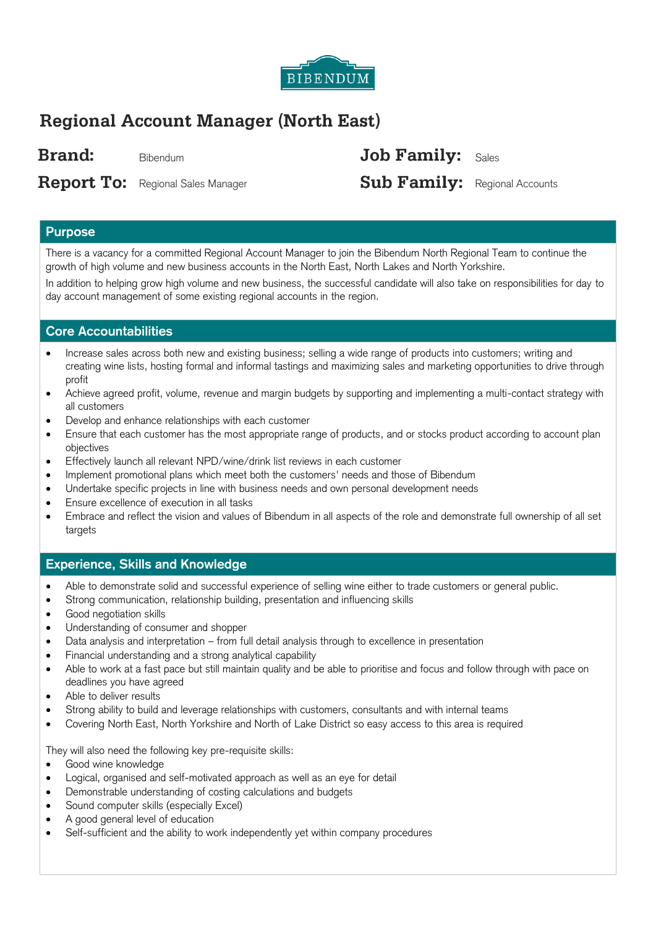

# **Regional Account Manager (North East)**

**Brand:** Bibendum **Job Family:** Sales

**Report To:** Regional Sales Manager

**Sub Family:** Regional Accounts

## **Purpose**

There is a vacancy for a committed Regional Account Manager to join the Bibendum North Regional Team to continue the growth of high volume and new business accounts in the North East, North Lakes and North Yorkshire.

In addition to helping grow high volume and new business, the successful candidate will also take on responsibilities for day to day account management of some existing regional accounts in the region.

#### **Core Accountabilities**

- Increase sales across both new and existing business; selling a wide range of products into customers; writing and creating wine lists, hosting formal and informal tastings and maximizing sales and marketing opportunities to drive through profit
- Achieve agreed profit, volume, revenue and margin budgets by supporting and implementing a multi-contact strategy with all customers
- Develop and enhance relationships with each customer
- Ensure that each customer has the most appropriate range of products, and or stocks product according to account plan objectives
- Effectively launch all relevant NPD/wine/drink list reviews in each customer
- Implement promotional plans which meet both the customers' needs and those of Bibendum
- Undertake specific projects in line with business needs and own personal development needs
- Ensure excellence of execution in all tasks
- Embrace and reflect the vision and values of Bibendum in all aspects of the role and demonstrate full ownership of all set targets

## **Experience, Skills and Knowledge**

- Able to demonstrate solid and successful experience of selling wine either to trade customers or general public.
- Strong communication, relationship building, presentation and influencing skills
- **•** Good negotiation skills
- Understanding of consumer and shopper
- Data analysis and interpretation from full detail analysis through to excellence in presentation
- Financial understanding and a strong analytical capability
- Able to work at a fast pace but still maintain quality and be able to prioritise and focus and follow through with pace on deadlines you have agreed
- Able to deliver results
- Strong ability to build and leverage relationships with customers, consultants and with internal teams
- Covering North East, North Yorkshire and North of Lake District so easy access to this area is required

They will also need the following key pre-requisite skills:

- Good wine knowledge
- Logical, organised and self-motivated approach as well as an eye for detail
- Demonstrable understanding of costing calculations and budgets
- Sound computer skills (especially Excel)
- A good general level of education
- Self-sufficient and the ability to work independently yet within company procedures